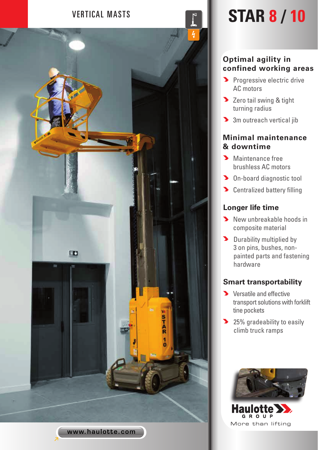

# VERTICAL MASTS **STAR 8 / 10**

#### **Optimal agility in confined working areas**

- **Progressive electric drive** AC motors
- **D** Zero tail swing & tight turning radius
- **3** 3m outreach vertical jib

### **Minimal maintenance & downtime**

- Maintenance free brushless AC motors
- **D** On-board diagnostic tool
- **D** Centralized battery filling

#### **Longer life time**

- New unbreakable hoods in composite material
- Durability multiplied by 3 on pins, bushes, nonpainted parts and fastening hardware

#### **Smart transportability**

- **Y** Versatile and effective transport solutions with forklift tine pockets
- 25% gradeability to easily climb truck ramps



**GROUP** More than lifting